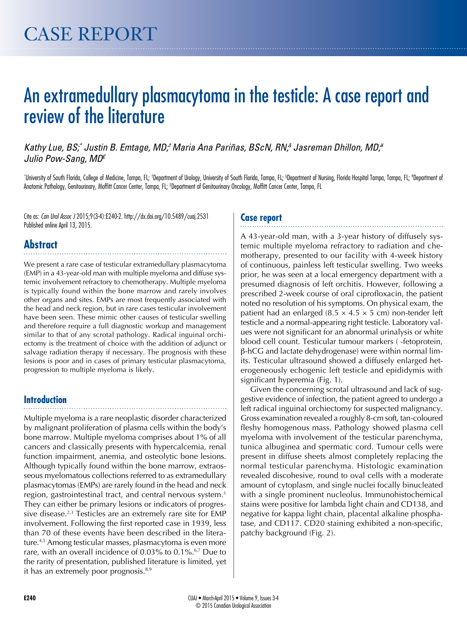# An extramedullary plasmacytoma in the testicle: A case report and review of the literature

*Kathy Lue, BS;\* Justin B. Emtage, MD;† Maria Ana Pariñas, BScN, RN;§ Jasreman Dhillon, MD;¥ Julio Pow-Sang, MD£*

\*University of South Florida, College of Medicine, Tampa, FL; †Department of Urology, University of South Florida, Tampa, FL; §Department of Nursing, Florida Hospital Tampa, Tampa, FL; \*Department of Anatomic Pathology, Genitourinary, Moffitt Cancer Center, Tampa, FL; <sup>s</sup>Department of Genitourinary Oncology, Moffitt Cancer Center, Tampa, FL

Cite as: *Can Urol Assoc J* 2015;9(3-4):E240-2. http://dx.doi.org/10.5489/cuaj.2531 Published online April 13, 2015.

## **Abstract**

We present a rare case of testicular extramedullary plasmacytoma (EMP) in a 43-year-old man with multiple myeloma and diffuse systemic involvement refractory to chemotherapy. Multiple myeloma is typically found within the bone marrow and rarely involves other organs and sites. EMPs are most frequently associated with the head and neck region, but in rare cases testicular involvement have been seen. These mimic other causes of testicular swelling and therefore require a full diagnostic workup and management similar to that of any scrotal pathology. Radical inguinal orchiectomy is the treatment of choice with the addition of adjunct or salvage radiation therapy if necessary. The prognosis with these lesions is poor and in cases of primary testicular plasmacytoma, progression to multiple myeloma is likely.

### **Introduction**

Multiple myeloma is a rare neoplastic disorder characterized by malignant proliferation of plasma cells within the body's bone marrow. Multiple myeloma comprises about 1% of all cancers and classically presents with hypercalcemia, renal function impairment, anemia, and osteolytic bone lesions. Although typically found within the bone marrow, extraosseous myelomatous collections referred to as extramedullary plasmacytomas (EMPs) are rarely found in the head and neck region, gastrointestinal tract, and central nervous system.<sup>1</sup> They can either be primary lesions or indicators of progressive disease.<sup>2,3</sup> Testicles are an extremely rare site for EMP involvement. Following the first reported case in 1939, less than 70 of these events have been described in the literature.4,5 Among testicular masses, plasmacytoma is even more rare, with an overall incidence of 0.03% to 0.1%.<sup>6,7</sup> Due to the rarity of presentation, published literature is limited, yet it has an extremely poor prognosis. $8,9$ 

#### **Case report**

A 43-year-old man, with a 3-year history of diffusely systemic multiple myeloma refractory to radiation and chemotherapy, presented to our facility with 4-week history of continuous, painless left testicular swelling. Two weeks prior, he was seen at a local emergency department with a presumed diagnosis of left orchitis. However, following a prescribed 2-week course of oral ciprofloxacin, the patient noted no resolution of his symptoms. On physical exam, the patient had an enlarged  $(8.5 \times 4.5 \times 5 \text{ cm})$  non-tender left testicle and a normal-appearing right testicle. Laboratory values were not significant for an abnormal urinalysis or white blood cell count. Testicular tumour markers (-fetoprotein, b-hCG and lactate dehydrogenase) were within normal limits. Testicular ultrasound showed a diffusely enlarged heterogeneously echogenic left testicle and epididymis with significant hyperemia (Fig. 1).

Given the concerning scrotal ultrasound and lack of suggestive evidence of infection, the patient agreed to undergo a left radical inguinal orchiectomy for suspected malignancy. Gross examination revealed a roughly 8-cm soft, tan-coloured fleshy homogenous mass. Pathology showed plasma cell myeloma with involvement of the testicular parenchyma, tunica albuginea and spermatic cord. Tumour cells were present in diffuse sheets almost completely replacing the normal testicular parenchyma. Histologic examination revealed discohesive, round to oval cells with a moderate amount of cytoplasm, and single nuclei focally binucleated with a single prominent nucleolus. Immunohistochemical stains were positive for lambda light chain and CD138, and negative for kappa light chain, placental alkaline phosphatase, and CD117. CD20 staining exhibited a non-specific, patchy background (Fig. 2).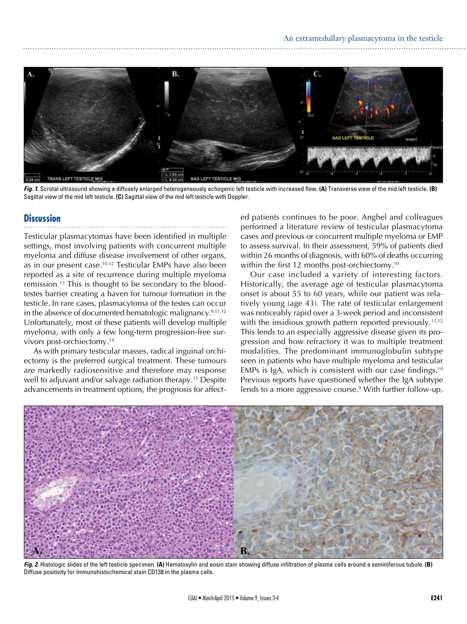

*Fig. 1.* Scrotal ultrasound showing a diffusely enlarged heterogeneously echogenic left testicle with increased flow. **(A)** Transverse view of the mid left testicle. **(B)**  Sagittal view of the mid left testicle. **(C)** Sagittal view of the mid left testicle with Doppler.

#### **Discussion**

Testicular plasmacytomas have been identified in multiple settings, most involving patients with concurrent multiple myeloma and diffuse disease involvement of other organs, as in our present case.10-12 Testicular EMPs have also been reported as a site of recurrence during multiple myeloma remission.13 This is thought to be secondary to the bloodtestes barrier creating a haven for tumour formation in the testicle. In rare cases, plasmacytoma of the testes can occur in the absence of documented hematologic malignancy.9,11,12 Unfortunately, most of these patients will develop multiple myeloma, with only a few long-term progression-free survivors post-orchiectomy.14

As with primary testicular masses, radical inguinal orchiectomy is the preferred surgical treatment. These tumours are markedly radiosensitive and therefore may response well to adjuvant and/or salvage radiation therapy.<sup>15</sup> Despite advancements in treatment options, the prognosis for affected patients continues to be poor. Anghel and colleagues performed a literature review of testicular plasmacytoma cases and previous or concurrent multiple myeloma or EMP to assess survival. In their assessment, 59% of patients died within 26 months of diagnosis, with 60% of deaths occurring within the first 12 months post-orchiectomy.<sup>10</sup>

Our case included a variety of interesting factors. Historically, the average age of testicular plasmacytoma onset is about 55 to 60 years, while our patient was relatively young (age 43). The rate of testicular enlargement was noticeably rapid over a 3-week period and inconsistent with the insidious growth pattern reported previously.<sup>11,12</sup> This lends to an especially aggressive disease given its progression and how refractory it was to multiple treatment modalities. The predominant immunoglobulin subtype seen in patients who have multiple myeloma and testicular EMPs is IgA, which is consistent with our case findings.<sup>10</sup> Previous reports have questioned whether the IgA subtype lends to a more aggressive course.<sup>9</sup> With further follow-up,



*Fig. 2.* Histologic slides of the left testicle specimen. **(A)** Hematoxylin and eosin stain showing diffuse infiltration of plasma cells around a seminiferous tubule. **(B)**  Diffuse positivity for Immunohistochemical stain CD138 in the plasma cells.